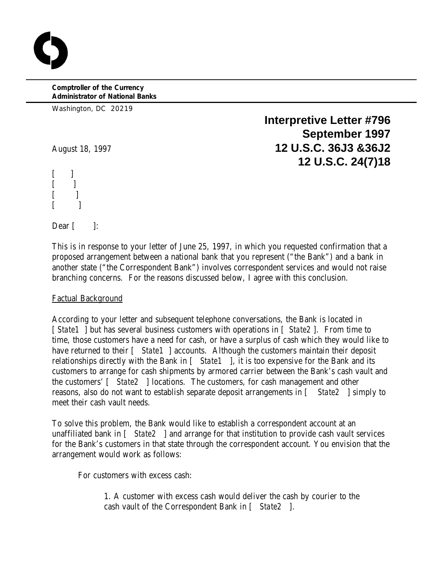**Comptroller of the Currency Administrator of National Banks**

Washington, DC 20219

**Interpretive Letter #796 September 1997** August 18, 1997 **12 U.S.C. 36J3 &36J2 12 U.S.C. 24(7)18**

 $\mathbf{I}$  $[\ ]$  $\lceil$   $\rceil$  $[$  ]

Dear  $\lceil$   $\rceil$ :

This is in response to your letter of June 25, 1997, in which you requested confirmation that a proposed arrangement between a national bank that you represent ("the Bank") and a bank in another state ("the Correspondent Bank") involves correspondent services and would not raise branching concerns. For the reasons discussed below, I agree with this conclusion.

## Factual Background

According to your letter and subsequent telephone conversations, the Bank is located in [ *State1* ] but has several business customers with operations in [ *State2* ]. From time to time, those customers have a need for cash, or have a surplus of cash which they would like to have returned to their  $\int$  *State1* ] accounts. Although the customers maintain their deposit relationships directly with the Bank in [ *State1* ], it is too expensive for the Bank and its customers to arrange for cash shipments by armored carrier between the Bank's cash vault and the customers' [ *State2* ] locations. The customers, for cash management and other reasons, also do not want to establish separate deposit arrangements in [ *State2* ] simply to meet their cash vault needs.

To solve this problem, the Bank would like to establish a correspondent account at an unaffiliated bank in [ *State2* ] and arrange for that institution to provide cash vault services for the Bank's customers in that state through the correspondent account. You envision that the arrangement would work as follows:

For customers with excess cash:

1. A customer with excess cash would deliver the cash by courier to the cash vault of the Correspondent Bank in [ *State2* ].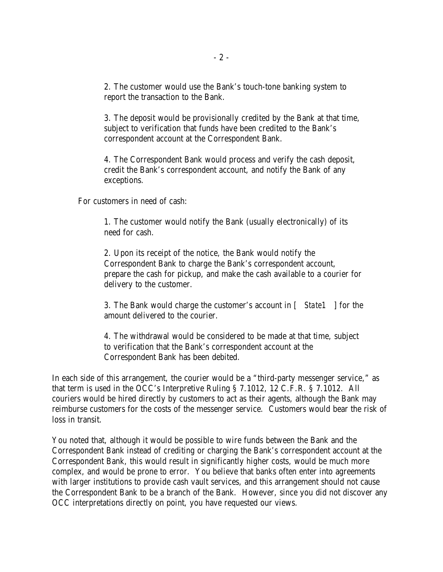2. The customer would use the Bank's touch-tone banking system to report the transaction to the Bank.

3. The deposit would be provisionally credited by the Bank at that time, subject to verification that funds have been credited to the Bank's correspondent account at the Correspondent Bank.

4. The Correspondent Bank would process and verify the cash deposit, credit the Bank's correspondent account, and notify the Bank of any exceptions.

For customers in need of cash:

1. The customer would notify the Bank (usually electronically) of its need for cash.

2. Upon its receipt of the notice, the Bank would notify the Correspondent Bank to charge the Bank's correspondent account, prepare the cash for pickup, and make the cash available to a courier for delivery to the customer.

3. The Bank would charge the customer's account in [ *State1* ] for the amount delivered to the courier.

4. The withdrawal would be considered to be made at that time, subject to verification that the Bank's correspondent account at the Correspondent Bank has been debited.

In each side of this arrangement, the courier would be a "third-party messenger service," as that term is used in the OCC's Interpretive Ruling § 7.1012, 12 C.F.R. § 7.1012. All couriers would be hired directly by customers to act as their agents, although the Bank may reimburse customers for the costs of the messenger service. Customers would bear the risk of loss in transit.

You noted that, although it would be possible to wire funds between the Bank and the Correspondent Bank instead of crediting or charging the Bank's correspondent account at the Correspondent Bank, this would result in significantly higher costs, would be much more complex, and would be prone to error. You believe that banks often enter into agreements with larger institutions to provide cash vault services, and this arrangement should not cause the Correspondent Bank to be a branch of the Bank. However, since you did not discover any OCC interpretations directly on point, you have requested our views.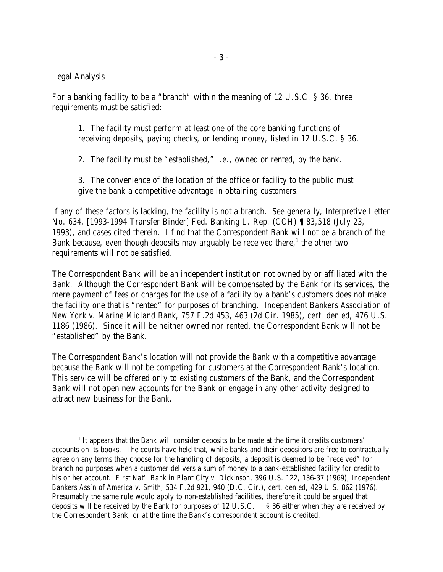## Legal Analysis

For a banking facility to be a "branch" within the meaning of 12 U.S.C. § 36, three requirements must be satisfied:

1. The facility must perform at least one of the core banking functions of receiving deposits, paying checks, or lending money, listed in 12 U.S.C. § 36.

2. The facility must be "established," *i.e.,* owned or rented, by the bank.

3. The convenience of the location of the office or facility to the public must give the bank a competitive advantage in obtaining customers.

If any of these factors is lacking, the facility is not a branch. *See generally*, Interpretive Letter No. 634, [1993-1994 Transfer Binder] Fed. Banking L. Rep. (CCH) ¶ 83,518 (July 23, 1993), and cases cited therein. I find that the Correspondent Bank will not be a branch of the Bank because, even though deposits may arguably be received there,<sup>1</sup> the other two requirements will not be satisfied.

The Correspondent Bank will be an independent institution not owned by or affiliated with the Bank. Although the Correspondent Bank will be compensated by the Bank for its services, the mere payment of fees or charges for the use of a facility by a bank's customers does not make the facility one that is "rented" for purposes of branching. *Independent Bankers Association of New York v. Marine Midland Bank*, 757 F.2d 453, 463 (2d Cir. 1985), *cert. denied,* 476 U.S. 1186 (1986). Since it will be neither owned nor rented, the Correspondent Bank will not be "established" by the Bank.

The Correspondent Bank's location will not provide the Bank with a competitive advantage because the Bank will not be competing for customers at the Correspondent Bank's location. This service will be offered only to existing customers of the Bank, and the Correspondent Bank will not open new accounts for the Bank or engage in any other activity designed to attract new business for the Bank.

<sup>&</sup>lt;sup>1</sup> It appears that the Bank will consider deposits to be made at the time it credits customers' accounts on its books. The courts have held that, while banks and their depositors are free to contractually agree on any terms they choose for the handling of deposits, a deposit is deemed to be "received" for branching purposes when a customer delivers a sum of money to a bank-established facility for credit to his or her account. *First Nat'l Bank in Plant City v. Dickinson*, 396 U.S. 122, 136-37 (1969); *Independent Bankers Ass'n of America v. Smith*, 534 F.2d 921, 940 (D.C. Cir.), *cert. denied,* 429 U.S. 862 (1976). Presumably the same rule would apply to non-established facilities, therefore it could be argued that deposits will be received by the Bank for purposes of 12 U.S.C. § 36 either when they are received by the Correspondent Bank, or at the time the Bank's correspondent account is credited.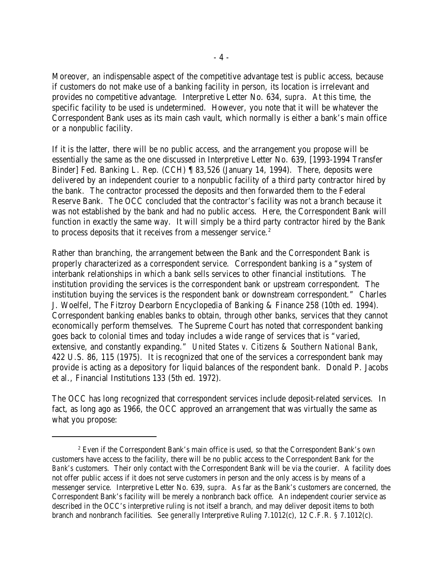Moreover, an indispensable aspect of the competitive advantage test is public access, because if customers do not make use of a banking facility in person, its location is irrelevant and provides no competitive advantage. Interpretive Letter No. 634, *supra*. At this time, the specific facility to be used is undetermined. However, you note that it will be whatever the Correspondent Bank uses as its main cash vault, which normally is either a bank's main office or a nonpublic facility.

If it is the latter, there will be no public access, and the arrangement you propose will be essentially the same as the one discussed in Interpretive Letter No. 639, [1993-1994 Transfer Binder] Fed. Banking L. Rep. (CCH) ¶ 83,526 (January 14, 1994). There, deposits were delivered by an independent courier to a nonpublic facility of a third party contractor hired by the bank. The contractor processed the deposits and then forwarded them to the Federal Reserve Bank. The OCC concluded that the contractor's facility was not a branch because it was not established by the bank and had no public access. Here, the Correspondent Bank will function in exactly the same way. It will simply be a third party contractor hired by the Bank to process deposits that it receives from a messenger service.<sup>2</sup>

Rather than branching, the arrangement between the Bank and the Correspondent Bank is properly characterized as a correspondent service. Correspondent banking is a "system of interbank relationships in which a bank sells services to other financial institutions. The institution providing the services is the correspondent bank or upstream correspondent. The institution buying the services is the respondent bank or downstream correspondent." Charles J. Woelfel, The Fitzroy Dearborn Encyclopedia of Banking & Finance 258 (10th ed. 1994). Correspondent banking enables banks to obtain, through other banks, services that they cannot economically perform themselves. The Supreme Court has noted that correspondent banking goes back to colonial times and today includes a wide range of services that is "varied, extensive, and constantly expanding." *United States v. Citizens & Southern National Bank*, 422 U.S. 86, 115 (1975). It is recognized that one of the services a correspondent bank may provide is acting as a depository for liquid balances of the respondent bank. Donald P. Jacobs et al., Financial Institutions 133 (5th ed. 1972).

The OCC has long recognized that correspondent services include deposit-related services. In fact, as long ago as 1966, the OCC approved an arrangement that was virtually the same as what you propose:

Even if the Correspondent Bank's main office is used, so that the Correspondent Bank's *own* <sup>2</sup> customers have access to the facility, there will be no public access to the Correspondent Bank for *the Bank's* customers. Their only contact with the Correspondent Bank will be via the courier. A facility does not offer public access if it does not serve customers in person and the only access is by means of a messenger service. Interpretive Letter No. 639, *supra.* As far as the Bank's customers are concerned, the Correspondent Bank's facility will be merely a nonbranch back office. An independent courier service as described in the OCC's interpretive ruling is not itself a branch, and may deliver deposit items to both branch and nonbranch facilities. *See generally* Interpretive Ruling 7.1012(c), 12 C.F.R. § 7.1012(c).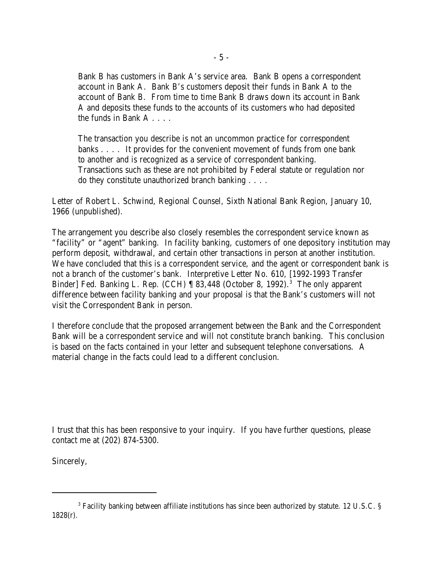Bank B has customers in Bank A's service area. Bank B opens a correspondent account in Bank A. Bank B's customers deposit their funds in Bank A to the account of Bank B. From time to time Bank B draws down its account in Bank A and deposits these funds to the accounts of its customers who had deposited the funds in Bank A . . . .

The transaction you describe is not an uncommon practice for correspondent banks . . . . It provides for the convenient movement of funds from one bank to another and is recognized as a service of correspondent banking. Transactions such as these are not prohibited by Federal statute or regulation nor do they constitute unauthorized branch banking . . . .

Letter of Robert L. Schwind, Regional Counsel, Sixth National Bank Region, January 10, 1966 (unpublished).

The arrangement you describe also closely resembles the correspondent service known as "facility" or "agent" banking. In facility banking, customers of one depository institution may perform deposit, withdrawal, and certain other transactions in person at another institution. We have concluded that this is a correspondent service, and the agent or correspondent bank is not a branch of the customer's bank. Interpretive Letter No. 610, [1992-1993 Transfer Binder] Fed. Banking L. Rep. (CCH)  $\parallel$  83,448 (October 8, 1992).<sup>3</sup> The only apparent difference between facility banking and your proposal is that the Bank's customers will not visit the Correspondent Bank in person.

I therefore conclude that the proposed arrangement between the Bank and the Correspondent Bank will be a correspondent service and will not constitute branch banking. This conclusion is based on the facts contained in your letter and subsequent telephone conversations. A material change in the facts could lead to a different conclusion.

I trust that this has been responsive to your inquiry. If you have further questions, please contact me at (202) 874-5300.

Sincerely,

<sup>&</sup>lt;sup>3</sup> Facility banking between affiliate institutions has since been authorized by statute. 12 U.S.C. § 1828(r).